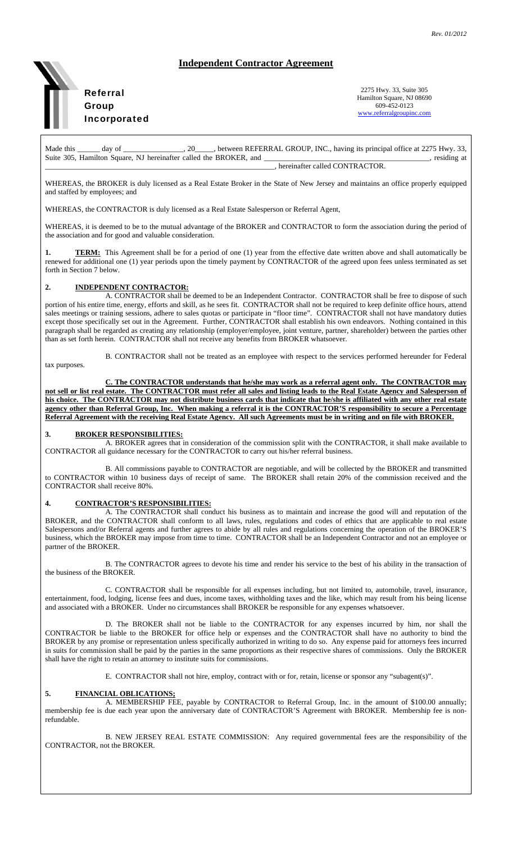# **Independent Contractor Agreement**



2275 Hwy. 33, Suite 305 Hamilton Square, NJ 08690 609-452-0123 www.referralgroupinc.com

Made this \_\_\_\_\_\_ day of \_\_\_\_\_\_\_\_\_\_\_, 20\_\_\_\_, between REFERRAL GROUP, INC., having its principal office at 2275 Hwy. 33, Suite 305, Hamilton Square, NJ hereinafter called the BROKER, and \_\_\_\_\_\_\_\_\_\_\_\_\_\_\_\_\_\_\_\_\_\_\_\_\_\_\_\_\_\_\_\_\_\_, residing at hereinafter called CONTRACTOR.

WHEREAS, the BROKER is duly licensed as a Real Estate Broker in the State of New Jersey and maintains an office properly equipped and staffed by employees; and

WHEREAS, the CONTRACTOR is duly licensed as a Real Estate Salesperson or Referral Agent,

WHEREAS, it is deemed to be to the mutual advantage of the BROKER and CONTRACTOR to form the association during the period of the association and for good and valuable consideration.

**TERM:** This Agreement shall be for a period of one (1) year from the effective date written above and shall automatically be renewed for additional one (1) year periods upon the timely payment by CONTRACTOR of the agreed upon fees unless terminated as set forth in Section 7 below.

### **2. INDEPENDENT CONTRACTOR:**

 A. CONTRACTOR shall be deemed to be an Independent Contractor. CONTRACTOR shall be free to dispose of such portion of his entire time, energy, efforts and skill, as he sees fit. CONTRACTOR shall not be required to keep definite office hours, attend sales meetings or training sessions, adhere to sales quotas or participate in "floor time". CONTRACTOR shall not have mandatory duties except those specifically set out in the Agreement. Further, CONTRACTOR shall establish his own endeavors. Nothing contained in this paragraph shall be regarded as creating any relationship (employer/employee, joint venture, partner, shareholder) between the parties other than as set forth herein. CONTRACTOR shall not receive any benefits from BROKER whatsoever.

 B. CONTRACTOR shall not be treated as an employee with respect to the services performed hereunder for Federal tax purposes.

 **C. The CONTRACTOR understands that he/she may work as a referral agent only. The CONTRACTOR may not sell or list real estate. The CONTRACTOR must refer all sales and listing leads to the Real Estate Agency and Salesperson of his choice. The CONTRACTOR may not distribute business cards that indicate that he/she is affiliated with any other real estate agency other than Referral Group, Inc. When making a referral it is the CONTRACTOR'S responsibility to secure a Percentage Referral Agreement with the receiving Real Estate Agency. All such Agreements must be in writing and on file with BROKER.** 

#### **3. BROKER RESPONSIBILITIES:**

 A. BROKER agrees that in consideration of the commission split with the CONTRACTOR, it shall make available to CONTRACTOR all guidance necessary for the CONTRACTOR to carry out his/her referral business.

 B. All commissions payable to CONTRACTOR are negotiable, and will be collected by the BROKER and transmitted to CONTRACTOR within 10 business days of receipt of same. The BROKER shall retain 20% of the commission received and the CONTRACTOR shall receive 80%.

#### **4. CONTRACTOR'S RESPONSIBILITIES:**

 A. The CONTRACTOR shall conduct his business as to maintain and increase the good will and reputation of the BROKER, and the CONTRACTOR shall conform to all laws, rules, regulations and codes of ethics that are applicable to real estate Salespersons and/or Referral agents and further agrees to abide by all rules and regulations concerning the operation of the BROKER'S business, which the BROKER may impose from time to time. CONTRACTOR shall be an Independent Contractor and not an employee or partner of the BROKER.

 B. The CONTRACTOR agrees to devote his time and render his service to the best of his ability in the transaction of the business of the BROKER.

 C. CONTRACTOR shall be responsible for all expenses including, but not limited to, automobile, travel, insurance, entertainment, food, lodging, license fees and dues, income taxes, withholding taxes and the like, which may result from his being license and associated with a BROKER. Under no circumstances shall BROKER be responsible for any expenses whatsoever.

 D. The BROKER shall not be liable to the CONTRACTOR for any expenses incurred by him, nor shall the CONTRACTOR be liable to the BROKER for office help or expenses and the CONTRACTOR shall have no authority to bind the BROKER by any promise or representation unless specifically authorized in writing to do so. Any expense paid for attorneys fees incurred in suits for commission shall be paid by the parties in the same proportions as their respective shares of commissions. Only the BROKER shall have the right to retain an attorney to institute suits for commissions.

E. CONTRACTOR shall not hire, employ, contract with or for, retain, license or sponsor any "subagent(s)".

## **5. FINANCIAL OBLICATIONS;**

 A. MEMBERSHIP FEE, payable by CONTRACTOR to Referral Group, Inc. in the amount of \$100.00 annually; membership fee is due each year upon the anniversary date of CONTRACTOR'S Agreement with BROKER. Membership fee is nonrefundable.

 B. NEW JERSEY REAL ESTATE COMMISSION: Any required governmental fees are the responsibility of the CONTRACTOR, not the BROKER.